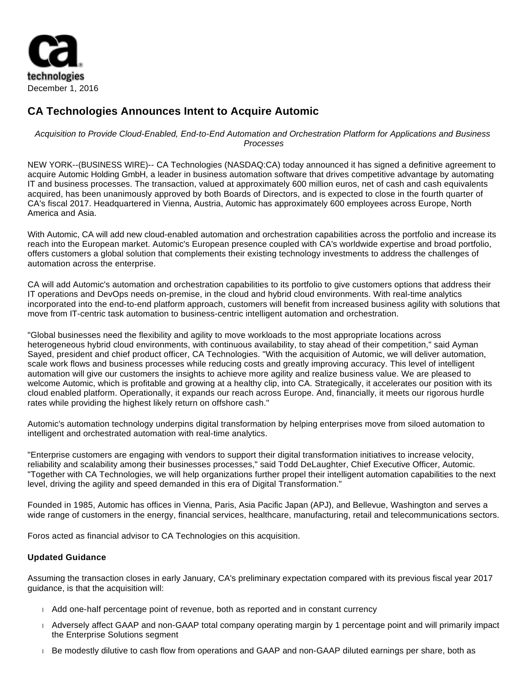

# **CA Technologies Announces Intent to Acquire Automic**

Acquisition to Provide Cloud-Enabled, End-to-End Automation and Orchestration Platform for Applications and Business Processes

NEW YORK--(BUSINESS WIRE)-- CA Technologies (NASDAQ:CA) today announced it has signed a definitive agreement to acquire Automic Holding GmbH, a leader in business automation software that drives competitive advantage by automating IT and business processes. The transaction, valued at approximately 600 million euros, net of cash and cash equivalents acquired, has been unanimously approved by both Boards of Directors, and is expected to close in the fourth quarter of CA's fiscal 2017. Headquartered in Vienna, Austria, Automic has approximately 600 employees across Europe, North America and Asia.

With Automic, CA will add new cloud-enabled automation and orchestration capabilities across the portfolio and increase its reach into the European market. Automic's European presence coupled with CA's worldwide expertise and broad portfolio, offers customers a global solution that complements their existing technology investments to address the challenges of automation across the enterprise.

CA will add Automic's automation and orchestration capabilities to its portfolio to give customers options that address their IT operations and DevOps needs on-premise, in the cloud and hybrid cloud environments. With real-time analytics incorporated into the end-to-end platform approach, customers will benefit from increased business agility with solutions that move from IT-centric task automation to business-centric intelligent automation and orchestration.

"Global businesses need the flexibility and agility to move workloads to the most appropriate locations across heterogeneous hybrid cloud environments, with continuous availability, to stay ahead of their competition," said Ayman Sayed, president and chief product officer, CA Technologies. "With the acquisition of Automic, we will deliver automation, scale work flows and business processes while reducing costs and greatly improving accuracy. This level of intelligent automation will give our customers the insights to achieve more agility and realize business value. We are pleased to welcome Automic, which is profitable and growing at a healthy clip, into CA. Strategically, it accelerates our position with its cloud enabled platform. Operationally, it expands our reach across Europe. And, financially, it meets our rigorous hurdle rates while providing the highest likely return on offshore cash."

Automic's automation technology underpins digital transformation by helping enterprises move from siloed automation to intelligent and orchestrated automation with real-time analytics.

"Enterprise customers are engaging with vendors to support their digital transformation initiatives to increase velocity, reliability and scalability among their businesses processes," said Todd DeLaughter, Chief Executive Officer, Automic. "Together with CA Technologies, we will help organizations further propel their intelligent automation capabilities to the next level, driving the agility and speed demanded in this era of Digital Transformation."

Founded in 1985, Automic has offices in Vienna, Paris, Asia Pacific Japan (APJ), and Bellevue, Washington and serves a wide range of customers in the energy, financial services, healthcare, manufacturing, retail and telecommunications sectors.

Foros acted as financial advisor to CA Technologies on this acquisition.

## **Updated Guidance**

Assuming the transaction closes in early January, CA's preliminary expectation compared with its previous fiscal year 2017 guidance, is that the acquisition will:

- Add one-half percentage point of revenue, both as reported and in constant currency
- Adversely affect GAAP and non-GAAP total company operating margin by 1 percentage point and will primarily impact the Enterprise Solutions segment
- Be modestly dilutive to cash flow from operations and GAAP and non-GAAP diluted earnings per share, both as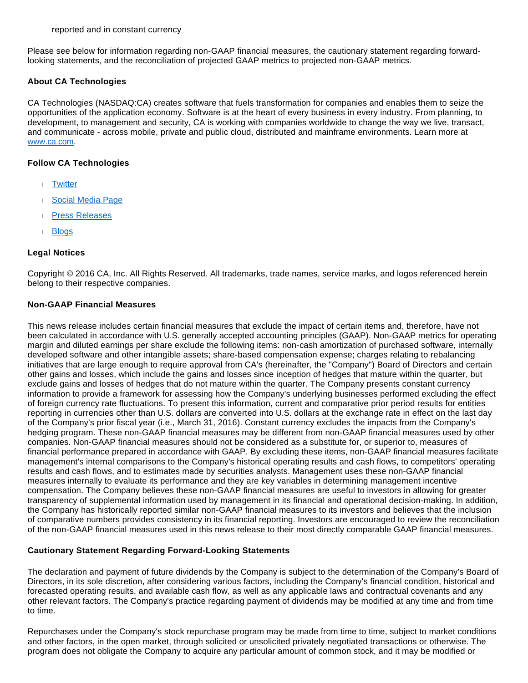Please see below for information regarding non-GAAP financial measures, the cautionary statement regarding forwardlooking statements, and the reconciliation of projected GAAP metrics to projected non-GAAP metrics.

## **About CA Technologies**

CA Technologies (NASDAQ:CA) creates software that fuels transformation for companies and enables them to seize the opportunities of the application economy. Software is at the heart of every business in every industry. From planning, to development, to management and security, CA is working with companies worldwide to change the way we live, transact, and communicate - across mobile, private and public cloud, distributed and mainframe environments. Learn more at [www.ca.com](http://cts.businesswire.com/ct/CT?id=smartlink&url=http%3A%2F%2Fwww.ca.com%2Fus%2Fdefault.aspx%3Fmrm%3D425892&esheet=51469362&newsitemid=20161201005206&lan=en-US&anchor=www.ca.com&index=1&md5=8273b7e7e8ab3eebfac96ae09b87d86f).

## **Follow CA Technologies**

- [Twitter](http://cts.businesswire.com/ct/CT?id=smartlink&url=http%3A%2F%2Fwww.twitter.com%2Fcainc%3Fmrm%3D425892&esheet=51469362&newsitemid=20161201005206&lan=en-US&anchor=Twitter&index=2&md5=3d66b43694725507cb8b7bb935d86e8b)
- **[Social Media Page](http://cts.businesswire.com/ct/CT?id=smartlink&url=http%3A%2F%2Fwww.ca.com%2Fus%2Fsocial-media%3Fmrm%3D425892&esheet=51469362&newsitemid=20161201005206&lan=en-US&anchor=Social+Media+Page&index=3&md5=abb60ef913d98dbd76d0dc4922a7f745)**
- [Press Releases](http://cts.businesswire.com/ct/CT?id=smartlink&url=http%3A%2F%2Fwww.ca.com%2Fus%2Fpress-releases.aspx%3Fmrm%3D425892&esheet=51469362&newsitemid=20161201005206&lan=en-US&anchor=Press+Releases&index=4&md5=284d8ae57a07a672ddd50cea5deaa397)
- [Blogs](http://cts.businesswire.com/ct/CT?id=smartlink&url=http%3A%2F%2Fblogs.ca.com%2F%3Fmrm%3D425892&esheet=51469362&newsitemid=20161201005206&lan=en-US&anchor=Blogs&index=5&md5=f5266057cfe2352791e0f0c298b01c5b)

### **Legal Notices**

Copyright © 2016 CA, Inc. All Rights Reserved. All trademarks, trade names, service marks, and logos referenced herein belong to their respective companies.

#### **Non-GAAP Financial Measures**

This news release includes certain financial measures that exclude the impact of certain items and, therefore, have not been calculated in accordance with U.S. generally accepted accounting principles (GAAP). Non-GAAP metrics for operating margin and diluted earnings per share exclude the following items: non-cash amortization of purchased software, internally developed software and other intangible assets; share-based compensation expense; charges relating to rebalancing initiatives that are large enough to require approval from CA's (hereinafter, the "Company") Board of Directors and certain other gains and losses, which include the gains and losses since inception of hedges that mature within the quarter, but exclude gains and losses of hedges that do not mature within the quarter. The Company presents constant currency information to provide a framework for assessing how the Company's underlying businesses performed excluding the effect of foreign currency rate fluctuations. To present this information, current and comparative prior period results for entities reporting in currencies other than U.S. dollars are converted into U.S. dollars at the exchange rate in effect on the last day of the Company's prior fiscal year (i.e., March 31, 2016). Constant currency excludes the impacts from the Company's hedging program. These non-GAAP financial measures may be different from non-GAAP financial measures used by other companies. Non-GAAP financial measures should not be considered as a substitute for, or superior to, measures of financial performance prepared in accordance with GAAP. By excluding these items, non-GAAP financial measures facilitate management's internal comparisons to the Company's historical operating results and cash flows, to competitors' operating results and cash flows, and to estimates made by securities analysts. Management uses these non-GAAP financial measures internally to evaluate its performance and they are key variables in determining management incentive compensation. The Company believes these non-GAAP financial measures are useful to investors in allowing for greater transparency of supplemental information used by management in its financial and operational decision-making. In addition, the Company has historically reported similar non-GAAP financial measures to its investors and believes that the inclusion of comparative numbers provides consistency in its financial reporting. Investors are encouraged to review the reconciliation of the non-GAAP financial measures used in this news release to their most directly comparable GAAP financial measures.

## **Cautionary Statement Regarding Forward-Looking Statements**

The declaration and payment of future dividends by the Company is subject to the determination of the Company's Board of Directors, in its sole discretion, after considering various factors, including the Company's financial condition, historical and forecasted operating results, and available cash flow, as well as any applicable laws and contractual covenants and any other relevant factors. The Company's practice regarding payment of dividends may be modified at any time and from time to time.

Repurchases under the Company's stock repurchase program may be made from time to time, subject to market conditions and other factors, in the open market, through solicited or unsolicited privately negotiated transactions or otherwise. The program does not obligate the Company to acquire any particular amount of common stock, and it may be modified or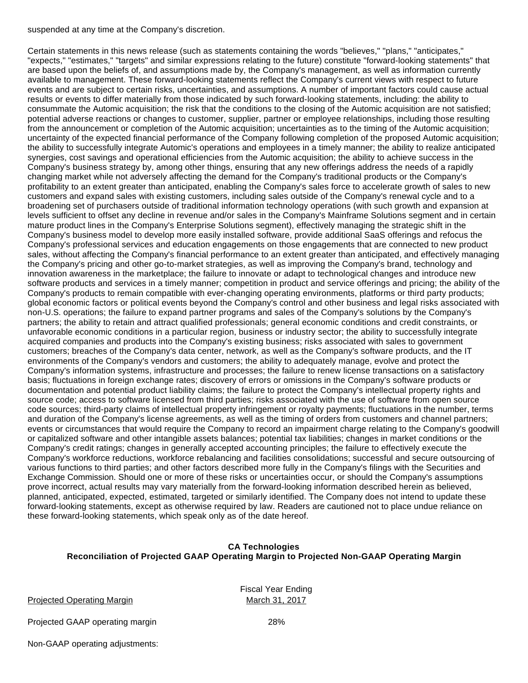suspended at any time at the Company's discretion.

Certain statements in this news release (such as statements containing the words "believes," "plans," "anticipates," "expects," "estimates," "targets" and similar expressions relating to the future) constitute "forward-looking statements" that are based upon the beliefs of, and assumptions made by, the Company's management, as well as information currently available to management. These forward-looking statements reflect the Company's current views with respect to future events and are subject to certain risks, uncertainties, and assumptions. A number of important factors could cause actual results or events to differ materially from those indicated by such forward-looking statements, including: the ability to consummate the Automic acquisition; the risk that the conditions to the closing of the Automic acquisition are not satisfied; potential adverse reactions or changes to customer, supplier, partner or employee relationships, including those resulting from the announcement or completion of the Automic acquisition; uncertainties as to the timing of the Automic acquisition; uncertainty of the expected financial performance of the Company following completion of the proposed Automic acquisition; the ability to successfully integrate Automic's operations and employees in a timely manner; the ability to realize anticipated synergies, cost savings and operational efficiencies from the Automic acquisition; the ability to achieve success in the Company's business strategy by, among other things, ensuring that any new offerings address the needs of a rapidly changing market while not adversely affecting the demand for the Company's traditional products or the Company's profitability to an extent greater than anticipated, enabling the Company's sales force to accelerate growth of sales to new customers and expand sales with existing customers, including sales outside of the Company's renewal cycle and to a broadening set of purchasers outside of traditional information technology operations (with such growth and expansion at levels sufficient to offset any decline in revenue and/or sales in the Company's Mainframe Solutions segment and in certain mature product lines in the Company's Enterprise Solutions segment), effectively managing the strategic shift in the Company's business model to develop more easily installed software, provide additional SaaS offerings and refocus the Company's professional services and education engagements on those engagements that are connected to new product sales, without affecting the Company's financial performance to an extent greater than anticipated, and effectively managing the Company's pricing and other go-to-market strategies, as well as improving the Company's brand, technology and innovation awareness in the marketplace; the failure to innovate or adapt to technological changes and introduce new software products and services in a timely manner; competition in product and service offerings and pricing; the ability of the Company's products to remain compatible with ever-changing operating environments, platforms or third party products; global economic factors or political events beyond the Company's control and other business and legal risks associated with non-U.S. operations; the failure to expand partner programs and sales of the Company's solutions by the Company's partners; the ability to retain and attract qualified professionals; general economic conditions and credit constraints, or unfavorable economic conditions in a particular region, business or industry sector; the ability to successfully integrate acquired companies and products into the Company's existing business; risks associated with sales to government customers; breaches of the Company's data center, network, as well as the Company's software products, and the IT environments of the Company's vendors and customers; the ability to adequately manage, evolve and protect the Company's information systems, infrastructure and processes; the failure to renew license transactions on a satisfactory basis; fluctuations in foreign exchange rates; discovery of errors or omissions in the Company's software products or documentation and potential product liability claims; the failure to protect the Company's intellectual property rights and source code; access to software licensed from third parties; risks associated with the use of software from open source code sources; third-party claims of intellectual property infringement or royalty payments; fluctuations in the number, terms and duration of the Company's license agreements, as well as the timing of orders from customers and channel partners; events or circumstances that would require the Company to record an impairment charge relating to the Company's goodwill or capitalized software and other intangible assets balances; potential tax liabilities; changes in market conditions or the Company's credit ratings; changes in generally accepted accounting principles; the failure to effectively execute the Company's workforce reductions, workforce rebalancing and facilities consolidations; successful and secure outsourcing of various functions to third parties; and other factors described more fully in the Company's filings with the Securities and Exchange Commission. Should one or more of these risks or uncertainties occur, or should the Company's assumptions prove incorrect, actual results may vary materially from the forward-looking information described herein as believed, planned, anticipated, expected, estimated, targeted or similarly identified. The Company does not intend to update these forward-looking statements, except as otherwise required by law. Readers are cautioned not to place undue reliance on these forward-looking statements, which speak only as of the date hereof.

## **CA Technologies Reconciliation of Projected GAAP Operating Margin to Projected Non-GAAP Operating Margin**

Fiscal Year Ending **Projected Operating Margin March 31, 2017** Projected GAAP operating margin 28%

Non-GAAP operating adjustments: